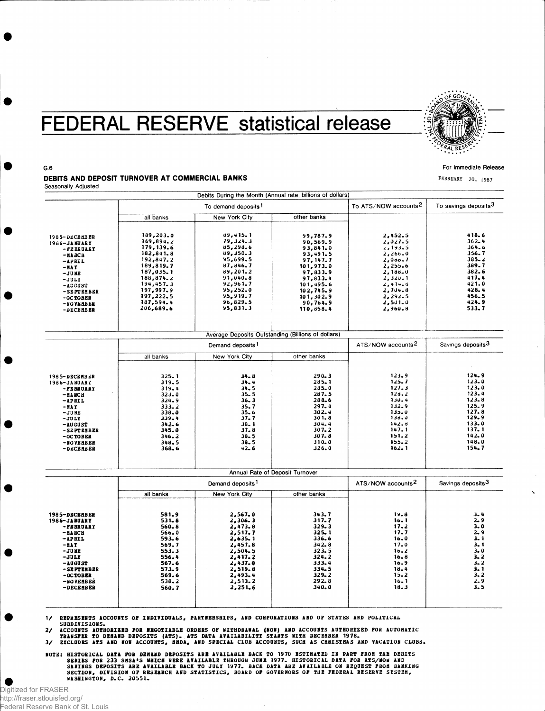## **FEDERAL RESERVE statistical release**



For Immediate Release FEBRUARY 20, 1987

## G.6

DEBITS AND DEPOSIT TURNOVER AT COMMERCIAL BANKS Seasonally Adjusted

|                                                                                                                                                                    |                                                                                                                                                                         | Debits During the Month (Annual rate, billions of dollars)                                                                                                    |                                                                                                                                                                 |                                                                                                                                               |                                                                                                                               |
|--------------------------------------------------------------------------------------------------------------------------------------------------------------------|-------------------------------------------------------------------------------------------------------------------------------------------------------------------------|---------------------------------------------------------------------------------------------------------------------------------------------------------------|-----------------------------------------------------------------------------------------------------------------------------------------------------------------|-----------------------------------------------------------------------------------------------------------------------------------------------|-------------------------------------------------------------------------------------------------------------------------------|
|                                                                                                                                                                    |                                                                                                                                                                         |                                                                                                                                                               | To ATS/NOW accounts <sup>2</sup>                                                                                                                                | To savings deposits <sup>3</sup>                                                                                                              |                                                                                                                               |
|                                                                                                                                                                    | all banks                                                                                                                                                               | <b>New York City</b>                                                                                                                                          | other banks                                                                                                                                                     |                                                                                                                                               |                                                                                                                               |
| 1985-DECEMBER<br>1986-JANUARY<br>-FEBRUARY<br>$-HACH$<br>-APRIL<br>$-MAT$<br>$-JUME$<br>$-JULX$<br>$-$ AU GUST<br>-SEPTEMBER<br>-OCTOBER<br>-NOVEMBER<br>-DECEMBER | 189,203.0<br>169,894.2<br>179, 139.6<br>182, 841.8<br>192,847.2<br>189,819.7<br>187,035.1<br>188,874.2<br>194,457.3<br>197,997.9<br>197,222.5<br>187,594.4<br>206,689.6 | 89,415.1<br>79, 324.3<br>85,298.6<br>89,350.3<br>95,699.5<br>87,846.7<br>89,201.2<br>$91,040 - 8$<br>92,961.7<br>95,252.0<br>95,919.7<br>96,829.5<br>95,831.3 | 99,787.9<br>90,569.9<br>93,841.0<br>93,491.5<br>97, 147. 7<br>101,973.0<br>97,833.9<br>97,833.4<br>101,495.6<br>102,745.9<br>101,302.9<br>90,764.9<br>110,858.4 | 2,452.5<br>2,027.5<br>2, 193.5<br>2,266.0<br>2,088.7<br>2,255.6<br>2,188.0<br>2, 320.1<br>2,414.8<br>2,704.8<br>2,292.5<br>2,501.0<br>2,960.8 | 418.6<br>$362 - 4$<br>364.6<br>356.7<br>$385 - 2$<br>389.7<br>382.6<br>417.4<br>421.0<br>$428 - 4$<br>456.5<br>424.9<br>533.7 |
|                                                                                                                                                                    |                                                                                                                                                                         | Average Deposits Outstanding (Billions of dollars)                                                                                                            |                                                                                                                                                                 |                                                                                                                                               |                                                                                                                               |
|                                                                                                                                                                    | Demand deposits <sup>1</sup>                                                                                                                                            |                                                                                                                                                               |                                                                                                                                                                 | ATS/NOW accounts <sup>2</sup>                                                                                                                 | Savings deposits <sup>3</sup>                                                                                                 |
|                                                                                                                                                                    | all banks                                                                                                                                                               | New York City                                                                                                                                                 | other banks                                                                                                                                                     |                                                                                                                                               |                                                                                                                               |
| 1985-DECEMBER<br>1986-JANUARY<br>-PEBRUARY<br>$-HABCH$<br>$-APRIL$<br>$-HAY$<br>$-JUNE$<br>$-JULY$<br>-AUGUST<br>-SEPTEMBER<br>-OCTOBER<br>-NOVEMBER<br>-DECEMBER  | $325 - 1$<br>319.5<br>319.4<br>$323 - 0$<br>$324 - 9$<br>$333 - 2$<br>338.0<br>339.4<br>$342 - 6$<br>345.0<br>$346 - 2$<br>348.5<br>368.6                               | $34 - 8$<br>$34 - 4$<br>34.5<br>35.5<br>36.3<br>35.7<br>$35 - 6$<br>$37 - 7$<br>$38 - 1$<br>37.8<br>$38 - 5$<br>$38 - 5$<br>$42 - 6$                          | $290 - 3$<br>$285 - 1$<br>285.0<br>287.5<br>$288 - 6$<br>297.4<br>$302 - 4$<br>301.8<br>304.4<br>$307 - 2$<br>307.8<br>$310 - 0$<br>326.0                       | $123 - 9$<br>$125 - 7$<br>127.3<br>12d.2<br>$130 - 4$<br>132.9<br>133.0<br>138.0<br>142.8<br>147.1<br>151.2<br>$155 - 2$<br>162.1             | 124.9<br>$123 - 0$<br>123.0<br>123.4<br>123.8<br>125.9<br>127.8<br>129.9<br>133.0<br>137.1<br>142.0<br>148.0<br>154.7         |
|                                                                                                                                                                    |                                                                                                                                                                         | Annual Rate of Deposit Turnover                                                                                                                               |                                                                                                                                                                 |                                                                                                                                               |                                                                                                                               |
|                                                                                                                                                                    |                                                                                                                                                                         | Demand deposits <sup>1</sup>                                                                                                                                  | ATS/NOW accounts <sup>2</sup>                                                                                                                                   | Savings deposits <sup>3</sup>                                                                                                                 |                                                                                                                               |
|                                                                                                                                                                    | all banks                                                                                                                                                               | New York City                                                                                                                                                 | other banks                                                                                                                                                     |                                                                                                                                               |                                                                                                                               |
| 1985-DECEMBER<br>1986-JABUARY<br>-PEBRUARY<br>-ил вси<br>$-$ APRIL<br>-NAY<br>$-$ JUNE<br>$-JULI$<br>$-10GUST$<br>-SEPTEMBER<br>-OCTOBER<br>-NOVEMBER<br>-DECEMBER | 581.9<br>$531 - 8$<br>$560 - 8$<br>$566 - 0$<br>593.6<br>569.7<br>553.3<br>556.4<br>567.6<br>573.9<br>569.6<br>$538 - 2$<br>560.7                                       | 2,567.0<br>2,306.3<br>2,473.8<br>2,517.7<br>2,635.1<br>2,457.8<br>2,504.5<br>2,417.2<br>2,437.0<br>2,519.8<br>2,493.4<br>2,513.2<br>2,251.6                   | 343.7<br>317.7<br>$329 - 3$<br>$325 - 1$<br>336.6<br>342.8<br>323.5<br>324.2<br>333.4<br>$334 - 5$<br>$329 - 2$<br>292.8<br>340.0                               | 19.8<br>16.1<br>17.2<br>$17 - 7$<br>16.0<br>$17 - 0$<br>$16 - 2$<br>$16 - 8$<br>16.9<br>18.4<br>$15 - 2$<br>16.1<br>18.3                      | 3.4<br>2.9<br>3.0<br>2.9<br>3.1<br>3.1<br>$3 - 0$<br>$3 - 2$<br>$3 - 2$<br>3.1<br>$3 - 2$<br>$2 - 9$<br>3.5                   |

1/ REPRESENTS ACCOUNTS OF INDIVIDUALS, PARTNERSHIPS, AND CORPORATIONS AND OF STATES AND POLITICAL SUBDIVISIONS.

2/ ACCOUNTS AUTHORIZED FOR NEGOTIABLE ORDERS OF WITHDRAWAL (NOW) AND ACCOUNTS AUTHORIZED FOR AUTOMATIC<br>- Transfer to Demand Deposits (ATS). Ats Data Availabiliti Starts With December 1978.<br>3/ Eicludes ATS AND NOW ACCOUNTS,

NOTE: HISTORICAL DATA FOR DEMAND DEPOSITS ARE AVAILABLE BACK TO 1970 ESTIMATED IN PART FROM THE DEBITS<br>SERIES FOR 233 SMSA'S WHICH WERE AVAILABLE THROUGH JUNE 1977. HISTORICAL DATA FOR ATS/NOW AND<br>SAVINGS DEPOSITS ARE AVAI